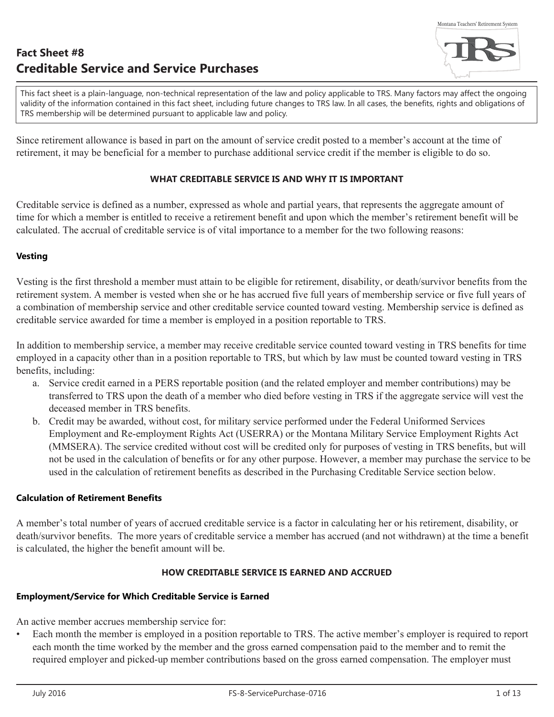This fact sheet is a plain-language, non-technical representation of the law and policy applicable to TRS. Many factors may affect the ongoing validity of the information contained in this fact sheet, including future changes to TRS law. In all cases, the benefits, rights and obligations of TRS membership will be determined pursuant to applicable law and policy.

Since retirement allowance is based in part on the amount of service credit posted to a member's account at the time of retirement, it may be beneficial for a member to purchase additional service credit if the member is eligible to do so.

## **WHAT CREDITABLE SERVICE IS AND WHY IT IS IMPORTANT**

Creditable service is defined as a number, expressed as whole and partial years, that represents the aggregate amount of time for which a member is entitled to receive a retirement benefit and upon which the member's retirement benefit will be calculated. The accrual of creditable service is of vital importance to a member for the two following reasons:

## **Vesting**

Vesting is the first threshold a member must attain to be eligible for retirement, disability, or death/survivor benefits from the retirement system. A member is vested when she or he has accrued five full years of membership service or five full years of a combination of membership service and other creditable service counted toward vesting. Membership service is defined as creditable service awarded for time a member is employed in a position reportable to TRS.

In addition to membership service, a member may receive creditable service counted toward vesting in TRS benefits for time employed in a capacity other than in a position reportable to TRS, but which by law must be counted toward vesting in TRS benefits, including:

- a. Service credit earned in a PERS reportable position (and the related employer and member contributions) may be transferred to TRS upon the death of a member who died before vesting in TRS if the aggregate service will vest the deceased member in TRS benefits.
- b. Credit may be awarded, without cost, for military service performed under the Federal Uniformed Services Employment and Re-employment Rights Act (USERRA) or the Montana Military Service Employment Rights Act (MMSERA). The service credited without cost will be credited only for purposes of vesting in TRS benefits, but will not be used in the calculation of benefits or for any other purpose. However, a member may purchase the service to be used in the calculation of retirement benefits as described in the Purchasing Creditable Service section below.

## **Calculation of Retirement Benefits**

A member's total number of years of accrued creditable service is a factor in calculating her or his retirement, disability, or death/survivor benefits. The more years of creditable service a member has accrued (and not withdrawn) at the time a benefit is calculated, the higher the benefit amount will be.

## **HOW CREDITABLE SERVICE IS EARNED AND ACCRUED**

# **Employment/Service for Which Creditable Service is Earned**

An active member accrues membership service for:

• Each month the member is employed in a position reportable to TRS. The active member's employer is required to report each month the time worked by the member and the gross earned compensation paid to the member and to remit the required employer and picked-up member contributions based on the gross earned compensation. The employer must

Montana Teachers' Retirement System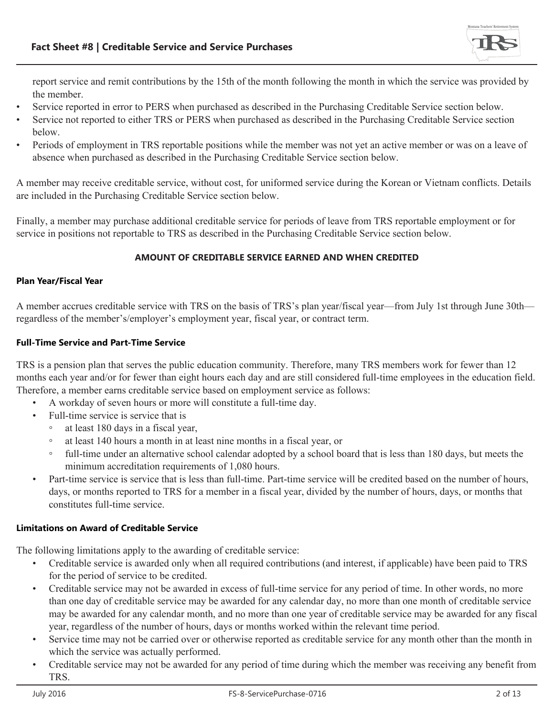

report service and remit contributions by the 15th of the month following the month in which the service was provided by

- Service reported in error to PERS when purchased as described in the Purchasing Creditable Service section below.<br>Service not reported to either TRS or PERS when purchased as described in the Purchasing Creditable Service
- 
- below.<br>• Periods of employment in TRS reportable positions while the member was not yet an active member or was on a leave of absence when purchased as described in the Purchasing Creditable Service section below.

A member may receive creditable service, without cost, for uniformed service during the Korean or Vietnam conflicts. Details are included in the Purchasing Creditable Service section below.

Finally, a member may purchase additional creditable service for periods of leave from TRS reportable employment or for service in positions not reportable to TRS as described in the Purchasing Creditable Service section below.

## **AMOUNT OF CREDITABLE SERVICE EARNED AND WHEN CREDITED**

## **Plan Year/Fiscal Year**

A member accrues creditable service with TRS on the basis of TRS's plan year/fiscal year—from July 1st through June 30th regardless of the member's/employer's employment year, fiscal year, or contract term.

## **Full-Time Service and Part-Time Service**

TRS is a pension plan that serves the public education community. Therefore, many TRS members work for fewer than 12 months each year and/or for fewer than eight hours each day and are still considered full-time employees in the education field. Therefore, a member earns creditable service based on employment service as follows:

- A workday of seven hours or more will constitute a full-time day.
- Full-time service is service that is
	- at least 180 days in a fiscal year,
	- at least 140 hours a month in at least nine months in a fiscal year, or
	- full-time under an alternative school calendar adopted by a school board that is less than 180 days, but meets the minimum accreditation requirements of 1,080 hours.
- Part-time service is service that is less than full-time. Part-time service will be credited based on the number of hours, days, or months reported to TRS for a member in a fiscal year, divided by the number of hours, days, or months that constitutes full-time service.

## **Limitations on Award of Creditable Service**

The following limitations apply to the awarding of creditable service:

- Creditable service is awarded only when all required contributions (and interest, if applicable) have been paid to TRS for the period of service to be credited.
- Creditable service may not be awarded in excess of full-time service for any period of time. In other words, no more than one day of creditable service may be awarded for any calendar day, no more than one month of creditable service may be awarded for any calendar month, and no more than one year of creditable service may be awarded for any fiscal year, regardless of the number of hours, days or months worked within the relevant time period.
- Service time may not be carried over or otherwise reported as creditable service for any month other than the month in which the service was actually performed.
- Creditable service may not be awarded for any period of time during which the member was receiving any benefit from TRS.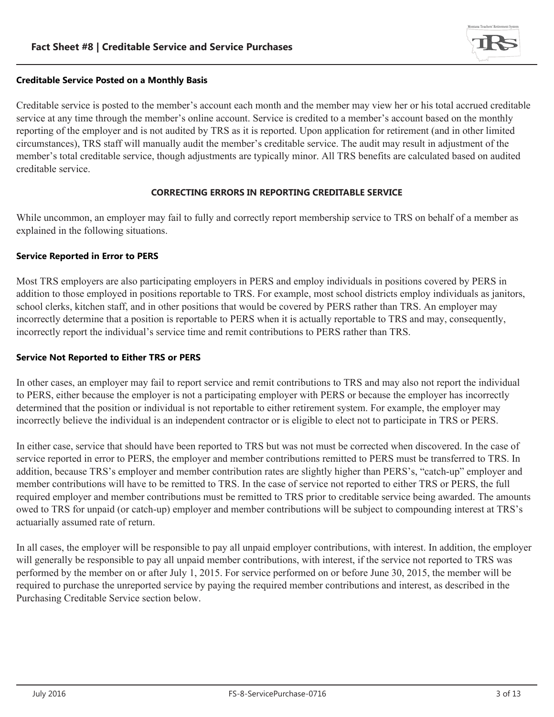

## **Creditable Service Posted on a Monthly Basis**

Creditable service is posted to the member's account each month and the member may view her or his total accrued creditable service at any time through the member's online account. Service is credited to a member's account based on the monthly reporting of the employer and is not audited by TRS as it is reported. Upon application for retirement (and in other limited circumstances), TRS staff will manually audit the member's creditable service. The audit may result in adjustment of the member's total creditable service, though adjustments are typically minor. All TRS benefits are calculated based on audited creditable service.

## **CORRECTING ERRORS IN REPORTING CREDITABLE SERVICE**

While uncommon, an employer may fail to fully and correctly report membership service to TRS on behalf of a member as explained in the following situations.

## **Service Reported in Error to PERS**

Most TRS employers are also participating employers in PERS and employ individuals in positions covered by PERS in addition to those employed in positions reportable to TRS. For example, most school districts employ individuals as janitors, school clerks, kitchen staff, and in other positions that would be covered by PERS rather than TRS. An employer may incorrectly determine that a position is reportable to PERS when it is actually reportable to TRS and may, consequently, incorrectly report the individual's service time and remit contributions to PERS rather than TRS.

## **Service Not Reported to Either TRS or PERS**

In other cases, an employer may fail to report service and remit contributions to TRS and may also not report the individual to PERS, either because the employer is not a participating employer with PERS or because the employer has incorrectly determined that the position or individual is not reportable to either retirement system. For example, the employer may incorrectly believe the individual is an independent contractor or is eligible to elect not to participate in TRS or PERS.

In either case, service that should have been reported to TRS but was not must be corrected when discovered. In the case of service reported in error to PERS, the employer and member contributions remitted to PERS must be transferred to TRS. In addition, because TRS's employer and member contribution rates are slightly higher than PERS's, "catch-up" employer and member contributions will have to be remitted to TRS. In the case of service not reported to either TRS or PERS, the full required employer and member contributions must be remitted to TRS prior to creditable service being awarded. The amounts owed to TRS for unpaid (or catch-up) employer and member contributions will be subject to compounding interest at TRS's actuarially assumed rate of return.

In all cases, the employer will be responsible to pay all unpaid employer contributions, with interest. In addition, the employer will generally be responsible to pay all unpaid member contributions, with interest, if the service not reported to TRS was performed by the member on or after July 1, 2015. For service performed on or before June 30, 2015, the member will be required to purchase the unreported service by paying the required member contributions and interest, as described in the Purchasing Creditable Service section below.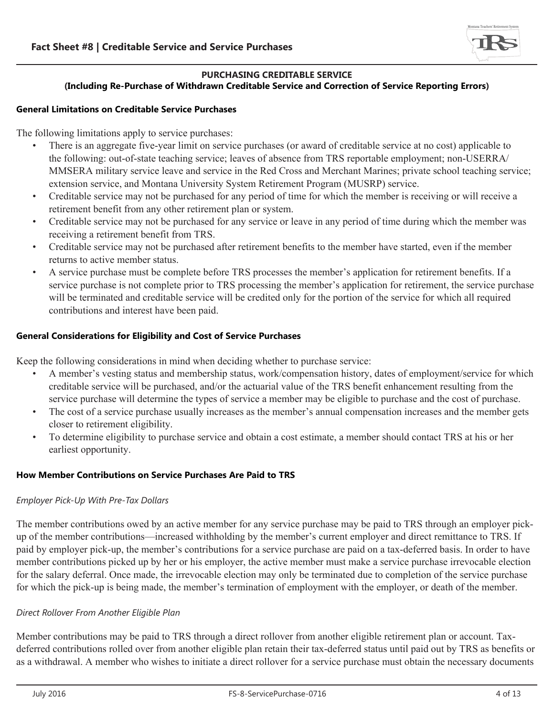

#### **PURCHASING CREDITABLE SERVICE (Including Re-Purchase of Withdrawn Creditable Service and Correction of Service Reporting Errors)**

## **General Limitations on Creditable Service Purchases**

The following limitations apply to service purchases:

- There is an aggregate five-year limit on service purchases (or award of creditable service at no cost) applicable to the following: out-of-state teaching service; leaves of absence from TRS reportable employment; non-USERRA/ MMSERA military service leave and service in the Red Cross and Merchant Marines; private school teaching service; extension service, and Montana University System Retirement Program (MUSRP) service.
- Creditable service may not be purchased for any period of time for which the member is receiving or will receive a retirement benefit from any other retirement plan or system.
- Creditable service may not be purchased for any service or leave in any period of time during which the member was receiving a retirement benefit from TRS.
- Creditable service may not be purchased after retirement benefits to the member have started, even if the member returns to active member status.
- A service purchase must be complete before TRS processes the member's application for retirement benefits. If a service purchase is not complete prior to TRS processing the member's application for retirement, the service purchase will be terminated and creditable service will be credited only for the portion of the service for which all required contributions and interest have been paid.

## **General Considerations for Eligibility and Cost of Service Purchases**

- Keep the following considerations in mind when deciding whether to purchase service:<br>• A member's vesting status and membership status, work/compensation history, dates of employment/service for which creditable service will be purchased, and/or the actuarial value of the TRS benefit enhancement resulting from the service purchase will determine the types of service a member may be eligible to purchase and the cost of p
	- The cost of a service purchase usually increases as the member's annual compensation increases and the member gets closer to retirement eligibility.
	- To determine eligibility to purchase service and obtain a cost estimate, a member should contact TRS at his or her earliest opportunity.

## **How Member Contributions on Service Purchases Are Paid to TRS**

## *Employer Pick-Up With Pre-Tax Dollars*

The member contributions owed by an active member for any service purchase may be paid to TRS through an employer pickup of the member contributions—increased withholding by the member's current employer and direct remittance to TRS. If paid by employer pick-up, the member's contributions for a service purchase are paid on a tax-deferred basis. In order to have member contributions picked up by her or his employer, the active member must make a service purchase irrevocable election for the salary deferral. Once made, the irrevocable election may only be terminated due to completion of the service purchase for which the pick-up is being made, the member's termination of employment with the employer, or death of the member.

## *Direct Rollover From Another Eligible Plan*

Member contributions may be paid to TRS through a direct rollover from another eligible retirement plan or account. Taxdeferred contributions rolled over from another eligible plan retain their tax-deferred status until paid out by TRS as benefits or as a withdrawal. A member who wishes to initiate a direct rollover for a service purchase must obtain the necessary documents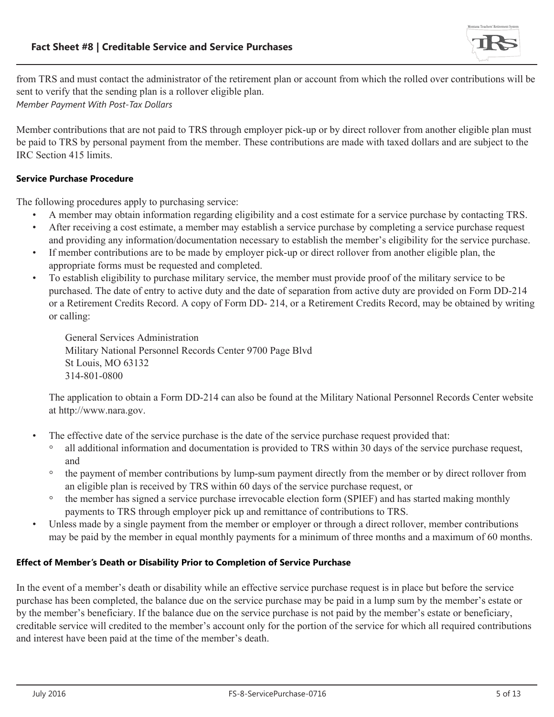

from TRS and must contact the administrator of the retirement plan or account from which the rolled over contributions will be sent to verify that the sending plan is a rollover eligible plan. *Member Payment With Post-Tax Dollars*

Member contributions that are not paid to TRS through employer pick-up or by direct rollover from another eligible plan must be paid to TRS by personal payment from the member. These contributions are made with taxed dollars and are subject to the IRC Section 415 limits.

## **Service Purchase Procedure**

- 
- The following procedures apply to purchasing service:<br>• A member may obtain information regarding eligibility and a cost estimate for a service purchase by contacting TRS.<br>• After receiving a cost estimate, a member may es
	- If member contributions are to be made by employer pick-up or direct rollover from another eligible plan, the appropriate forms must be requested and completed.
	- To establish eligibility to purchase military service, the member must provide proof of the military service to be purchased. The date of entry to active duty and the date of separation from active duty are provided on Form DD-214 or a Retirement Credits Record. A copy of Form DD- 214, or a Retirement Credits Record, may be obtained by writing or calling:

General Services Administration Military National Personnel Records Center 9700 Page Blvd St Louis, MO 63132 314-801-0800

The application to obtain a Form DD-214 can also be found at the Military National Personnel Records Center website at http://www.nara.gov.

- The effective date of the service purchase is the date of the service purchase request provided that:
	- all additional information and documentation is provided to TRS within 30 days of the service purchase request, and
	- the payment of member contributions by lump-sum payment directly from the member or by direct rollover from an eligible plan is received by TRS within 60 days of the service purchase request, or
	- the member has signed a service purchase irrevocable election form (SPIEF) and has started making monthly
- Unless made by a single payment from the member or employer or through a direct rollover, member contributions may be paid by the member in equal monthly payments for a minimum of three months and a maximum of 60 months.

# **Effect of Member's Death or Disability Prior to Completion of Service Purchase**

In the event of a member's death or disability while an effective service purchase request is in place but before the service purchase has been completed, the balance due on the service purchase may be paid in a lump sum by the member's estate or by the member's beneficiary. If the balance due on the service purchase is not paid by the member's estate or beneficiary, creditable service will credited to the member's account only for the portion of the service for which all required contributions and interest have been paid at the time of the member's death.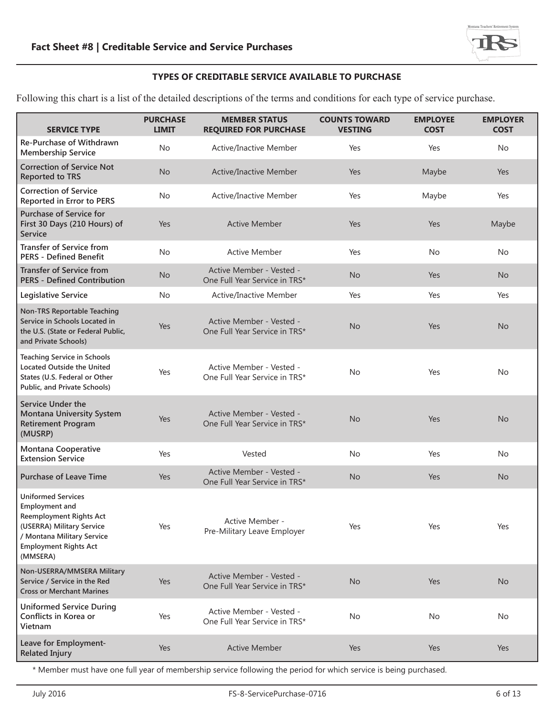

## **TYPES OF CREDITABLE SERVICE AVAILABLE TO PURCHASE**

Following this chart is a list of the detailed descriptions of the terms and conditions for each type of service purchase.

| <b>SERVICE TYPE</b>                                                                                                                                                                         | <b>PURCHASE</b><br><b>LIMIT</b> | <b>MEMBER STATUS</b><br><b>REQUIRED FOR PURCHASE</b>      | <b>COUNTS TOWARD</b><br><b>VESTING</b> | <b>EMPLOYEE</b><br><b>COST</b> | <b>EMPLOYER</b><br><b>COST</b> |
|---------------------------------------------------------------------------------------------------------------------------------------------------------------------------------------------|---------------------------------|-----------------------------------------------------------|----------------------------------------|--------------------------------|--------------------------------|
| Re-Purchase of Withdrawn<br><b>Membership Service</b>                                                                                                                                       | <b>No</b>                       | <b>Active/Inactive Member</b>                             | Yes                                    | Yes                            | No                             |
| <b>Correction of Service Not</b><br><b>Reported to TRS</b>                                                                                                                                  | <b>No</b>                       | <b>Active/Inactive Member</b>                             | Yes                                    | Maybe                          | Yes                            |
| <b>Correction of Service</b><br>Reported in Error to PERS                                                                                                                                   | No                              | Active/Inactive Member                                    | Yes                                    | Maybe                          | Yes                            |
| <b>Purchase of Service for</b><br>First 30 Days (210 Hours) of<br>Service                                                                                                                   | Yes                             | <b>Active Member</b>                                      | Yes                                    | Yes                            | Maybe                          |
| <b>Transfer of Service from</b><br><b>PERS - Defined Benefit</b>                                                                                                                            | <b>No</b>                       | <b>Active Member</b>                                      | Yes                                    | <b>No</b>                      | No                             |
| <b>Transfer of Service from</b><br><b>PERS - Defined Contribution</b>                                                                                                                       | <b>No</b>                       | Active Member - Vested -<br>One Full Year Service in TRS* | <b>No</b>                              | Yes                            | <b>No</b>                      |
| Legislative Service                                                                                                                                                                         | <b>No</b>                       | Active/Inactive Member                                    | Yes                                    | Yes                            | Yes                            |
| <b>Non-TRS Reportable Teaching</b><br>Service in Schools Located in<br>the U.S. (State or Federal Public,<br>and Private Schools)                                                           | Yes                             | Active Member - Vested -<br>One Full Year Service in TRS* | <b>No</b>                              | Yes                            | <b>No</b>                      |
| <b>Teaching Service in Schools</b><br><b>Located Outside the United</b><br>States (U.S. Federal or Other<br>Public, and Private Schools)                                                    | Yes                             | Active Member - Vested -<br>One Full Year Service in TRS* | <b>No</b>                              | Yes                            | No                             |
| <b>Service Under the</b><br><b>Montana University System</b><br><b>Retirement Program</b><br>(MUSRP)                                                                                        | Yes                             | Active Member - Vested -<br>One Full Year Service in TRS* | <b>No</b>                              | Yes                            | <b>No</b>                      |
| Montana Cooperative<br><b>Extension Service</b>                                                                                                                                             | Yes                             | Vested                                                    | No                                     | Yes                            | No                             |
| <b>Purchase of Leave Time</b>                                                                                                                                                               | Yes                             | Active Member - Vested -<br>One Full Year Service in TRS* | <b>No</b>                              | Yes                            | <b>No</b>                      |
| <b>Uniformed Services</b><br><b>Employment and</b><br><b>Reemployment Rights Act</b><br>(USERRA) Military Service<br>/ Montana Military Service<br><b>Employment Rights Act</b><br>(MMSERA) | Yes                             | Active Member -<br>Pre-Military Leave Employer            | Yes                                    | Yes                            | Yes                            |
| Non-USERRA/MMSERA Military<br>Service / Service in the Red<br><b>Cross or Merchant Marines</b>                                                                                              | Yes                             | Active Member - Vested -<br>One Full Year Service in TRS* | <b>No</b>                              | Yes                            | <b>No</b>                      |
| <b>Uniformed Service During</b><br>Conflicts in Korea or<br>Vietnam                                                                                                                         | Yes                             | Active Member - Vested -<br>One Full Year Service in TRS* | No                                     | No                             | No                             |
| Leave for Employment-<br><b>Related Injury</b>                                                                                                                                              | Yes                             | <b>Active Member</b>                                      | Yes                                    | Yes                            | Yes                            |

\* Member must have one full year of membership service following the period for which service is being purchased.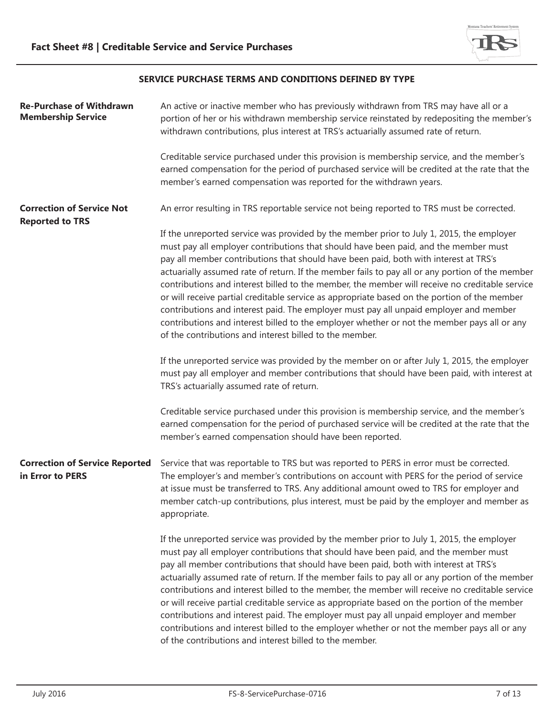

## **SERVICE PURCHASE TERMS AND CONDITIONS DEFINED BY TYPE**

| <b>Re-Purchase of Withdrawn</b><br><b>Membership Service</b> | An active or inactive member who has previously withdrawn from TRS may have all or a<br>portion of her or his withdrawn membership service reinstated by redepositing the member's<br>withdrawn contributions, plus interest at TRS's actuarially assumed rate of return.                                                                                                                                                                                                                                                                                                                                                                                                                                                                                                                                                       |
|--------------------------------------------------------------|---------------------------------------------------------------------------------------------------------------------------------------------------------------------------------------------------------------------------------------------------------------------------------------------------------------------------------------------------------------------------------------------------------------------------------------------------------------------------------------------------------------------------------------------------------------------------------------------------------------------------------------------------------------------------------------------------------------------------------------------------------------------------------------------------------------------------------|
|                                                              | Creditable service purchased under this provision is membership service, and the member's<br>earned compensation for the period of purchased service will be credited at the rate that the<br>member's earned compensation was reported for the withdrawn years.                                                                                                                                                                                                                                                                                                                                                                                                                                                                                                                                                                |
| <b>Correction of Service Not</b><br><b>Reported to TRS</b>   | An error resulting in TRS reportable service not being reported to TRS must be corrected.                                                                                                                                                                                                                                                                                                                                                                                                                                                                                                                                                                                                                                                                                                                                       |
|                                                              | If the unreported service was provided by the member prior to July 1, 2015, the employer<br>must pay all employer contributions that should have been paid, and the member must<br>pay all member contributions that should have been paid, both with interest at TRS's<br>actuarially assumed rate of return. If the member fails to pay all or any portion of the member<br>contributions and interest billed to the member, the member will receive no creditable service<br>or will receive partial creditable service as appropriate based on the portion of the member<br>contributions and interest paid. The employer must pay all unpaid employer and member<br>contributions and interest billed to the employer whether or not the member pays all or any<br>of the contributions and interest billed to the member. |
|                                                              | If the unreported service was provided by the member on or after July 1, 2015, the employer<br>must pay all employer and member contributions that should have been paid, with interest at<br>TRS's actuarially assumed rate of return.                                                                                                                                                                                                                                                                                                                                                                                                                                                                                                                                                                                         |
|                                                              | Creditable service purchased under this provision is membership service, and the member's<br>earned compensation for the period of purchased service will be credited at the rate that the<br>member's earned compensation should have been reported.                                                                                                                                                                                                                                                                                                                                                                                                                                                                                                                                                                           |
| <b>Correction of Service Reported</b><br>in Error to PERS    | Service that was reportable to TRS but was reported to PERS in error must be corrected.<br>The employer's and member's contributions on account with PERS for the period of service<br>at issue must be transferred to TRS. Any additional amount owed to TRS for employer and<br>member catch-up contributions, plus interest, must be paid by the employer and member as<br>appropriate.                                                                                                                                                                                                                                                                                                                                                                                                                                      |
|                                                              | If the unreported service was provided by the member prior to July 1, 2015, the employer<br>must pay all employer contributions that should have been paid, and the member must<br>pay all member contributions that should have been paid, both with interest at TRS's<br>actuarially assumed rate of return. If the member fails to pay all or any portion of the member<br>contributions and interest billed to the member, the member will receive no creditable service<br>or will receive partial creditable service as appropriate based on the portion of the member<br>contributions and interest paid. The employer must pay all unpaid employer and member<br>contributions and interest billed to the employer whether or not the member pays all or any<br>of the contributions and interest billed to the member. |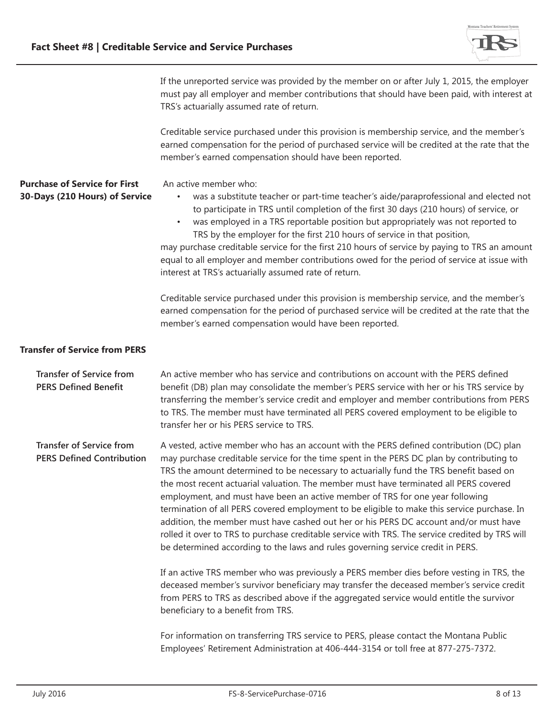

| If the unreported service was provided by the member on or after July 1, 2015, the employer |
|---------------------------------------------------------------------------------------------|
| must pay all employer and member contributions that should have been paid, with interest at |
| TRS's actuarially assumed rate of return.                                                   |

Creditable service purchased under this provision is membership service, and the member's earned compensation for the period of purchased service will be credited at the rate that the member's earned compensation should have been reported.

**Purchase of Service for First 30-Days (210 Hours) of Service** An active member who:

- was a substitute teacher or part-time teacher's aide/paraprofessional and elected not to participate in TRS until completion of the first 30 days (210 hours) of service, or
- was employed in a TRS reportable position but appropriately was not reported to TRS by the employer for the first 210 hours of service in that position,

may purchase creditable service for the first 210 hours of service by paying to TRS an amount equal to all employer and member contributions owed for the period of service at issue with interest at TRS's actuarially assumed rate of return.

Creditable service purchased under this provision is membership service, and the member's earned compensation for the period of purchased service will be credited at the rate that the member's earned compensation would have been reported.

## **Transfer of Service from PERS**

| <b>Transfer of Service from</b><br><b>PERS Defined Benefit</b>      | An active member who has service and contributions on account with the PERS defined<br>benefit (DB) plan may consolidate the member's PERS service with her or his TRS service by<br>transferring the member's service credit and employer and member contributions from PERS<br>to TRS. The member must have terminated all PERS covered employment to be eligible to<br>transfer her or his PERS service to TRS.                                                                                                                                                                                                                                                                                                                                                                                                                                                                                                                                                                                                                                                                                                         |
|---------------------------------------------------------------------|----------------------------------------------------------------------------------------------------------------------------------------------------------------------------------------------------------------------------------------------------------------------------------------------------------------------------------------------------------------------------------------------------------------------------------------------------------------------------------------------------------------------------------------------------------------------------------------------------------------------------------------------------------------------------------------------------------------------------------------------------------------------------------------------------------------------------------------------------------------------------------------------------------------------------------------------------------------------------------------------------------------------------------------------------------------------------------------------------------------------------|
| <b>Transfer of Service from</b><br><b>PERS Defined Contribution</b> | A vested, active member who has an account with the PERS defined contribution (DC) plan<br>may purchase creditable service for the time spent in the PERS DC plan by contributing to<br>TRS the amount determined to be necessary to actuarially fund the TRS benefit based on<br>the most recent actuarial valuation. The member must have terminated all PERS covered<br>employment, and must have been an active member of TRS for one year following<br>termination of all PERS covered employment to be eligible to make this service purchase. In<br>addition, the member must have cashed out her or his PERS DC account and/or must have<br>rolled it over to TRS to purchase creditable service with TRS. The service credited by TRS will<br>be determined according to the laws and rules governing service credit in PERS.<br>If an active TRS member who was previously a PERS member dies before vesting in TRS, the<br>deceased member's survivor beneficiary may transfer the deceased member's service credit<br>from PERS to TRS as described above if the aggregated service would entitle the survivor |
|                                                                     | beneficiary to a benefit from TRS.<br>For information on transferring TRS service to PERS, please contact the Montana Public<br>Employees' Retirement Administration at 406-444-3154 or toll free at 877-275-7372.                                                                                                                                                                                                                                                                                                                                                                                                                                                                                                                                                                                                                                                                                                                                                                                                                                                                                                         |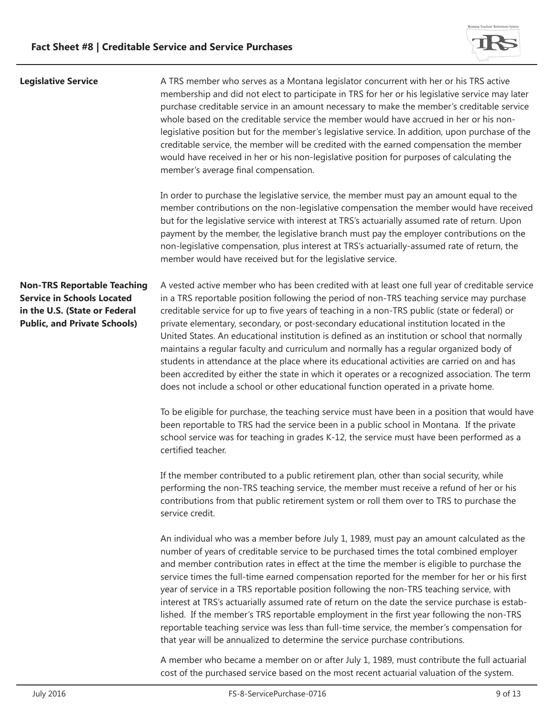

| <b>Legislative Service</b>                                                                                                                      | A TRS member who serves as a Montana legislator concurrent with her or his TRS active<br>membership and did not elect to participate in TRS for her or his legislative service may later<br>purchase creditable service in an amount necessary to make the member's creditable service<br>whole based on the creditable service the member would have accrued in her or his non-<br>legislative position but for the member's legislative service. In addition, upon purchase of the<br>creditable service, the member will be credited with the earned compensation the member<br>would have received in her or his non-legislative position for purposes of calculating the<br>member's average final compensation.                                                                                                                                                         |
|-------------------------------------------------------------------------------------------------------------------------------------------------|-------------------------------------------------------------------------------------------------------------------------------------------------------------------------------------------------------------------------------------------------------------------------------------------------------------------------------------------------------------------------------------------------------------------------------------------------------------------------------------------------------------------------------------------------------------------------------------------------------------------------------------------------------------------------------------------------------------------------------------------------------------------------------------------------------------------------------------------------------------------------------|
|                                                                                                                                                 | In order to purchase the legislative service, the member must pay an amount equal to the<br>member contributions on the non-legislative compensation the member would have received<br>but for the legislative service with interest at TRS's actuarially assumed rate of return. Upon<br>payment by the member, the legislative branch must pay the employer contributions on the<br>non-legislative compensation, plus interest at TRS's actuarially-assumed rate of return, the<br>member would have received but for the legislative service.                                                                                                                                                                                                                                                                                                                             |
| <b>Non-TRS Reportable Teaching</b><br><b>Service in Schools Located</b><br>in the U.S. (State or Federal<br><b>Public, and Private Schools)</b> | A vested active member who has been credited with at least one full year of creditable service<br>in a TRS reportable position following the period of non-TRS teaching service may purchase<br>creditable service for up to five years of teaching in a non-TRS public (state or federal) or<br>private elementary, secondary, or post-secondary educational institution located in the<br>United States. An educational institution is defined as an institution or school that normally<br>maintains a regular faculty and curriculum and normally has a regular organized body of<br>students in attendance at the place where its educational activities are carried on and has<br>been accredited by either the state in which it operates or a recognized association. The term<br>does not include a school or other educational function operated in a private home. |
|                                                                                                                                                 | To be eligible for purchase, the teaching service must have been in a position that would have<br>been reportable to TRS had the service been in a public school in Montana. If the private<br>school service was for teaching in grades K-12, the service must have been performed as a<br>certified teacher.                                                                                                                                                                                                                                                                                                                                                                                                                                                                                                                                                                |
|                                                                                                                                                 | If the member contributed to a public retirement plan, other than social security, while<br>performing the non-TRS teaching service, the member must receive a refund of her or his<br>contributions from that public retirement system or roll them over to TRS to purchase the<br>service credit.                                                                                                                                                                                                                                                                                                                                                                                                                                                                                                                                                                           |
|                                                                                                                                                 | An individual who was a member before July 1, 1989, must pay an amount calculated as the<br>number of years of creditable service to be purchased times the total combined employer<br>and member contribution rates in effect at the time the member is eligible to purchase the<br>service times the full-time earned compensation reported for the member for her or his first<br>year of service in a TRS reportable position following the non-TRS teaching service, with<br>interest at TRS's actuarially assumed rate of return on the date the service purchase is estab-<br>lished. If the member's TRS reportable employment in the first year following the non-TRS<br>reportable teaching service was less than full-time service, the member's compensation for                                                                                                  |

A member who became a member on or after July 1, 1989, must contribute the full actuarial cost of the purchased service based on the most recent actuarial valuation of the system.

that year will be annualized to determine the service purchase contributions.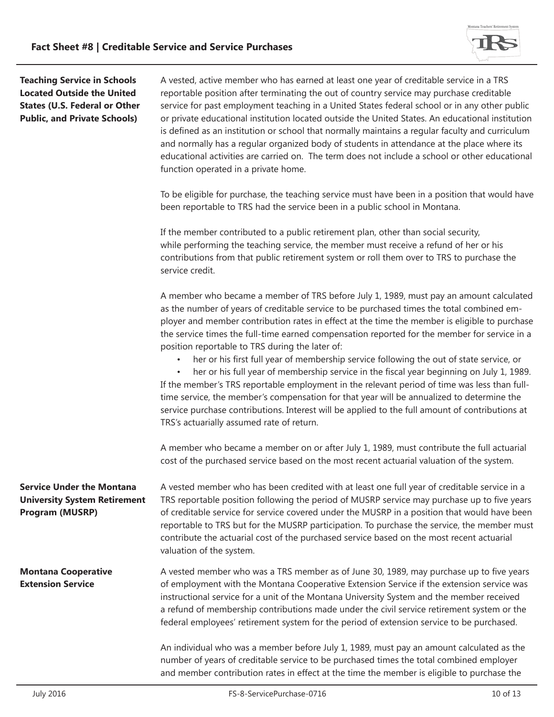

**Teaching Service in Schools Located Outside the United States (U.S. Federal or Other Public, and Private Schools)**

A vested, active member who has earned at least one year of creditable service in a TRS reportable position after terminating the out of country service may purchase creditable service for past employment teaching in a United States federal school or in any other public or private educational institution located outside the United States. An educational institution is defined as an institution or school that normally maintains a regular faculty and curriculum and normally has a regular organized body of students in attendance at the place where its educational activities are carried on. The term does not include a school or other educational function operated in a private home.

To be eligible for purchase, the teaching service must have been in a position that would have been reportable to TRS had the service been in a public school in Montana.

If the member contributed to a public retirement plan, other than social security, while performing the teaching service, the member must receive a refund of her or his contributions from that public retirement system or roll them over to TRS to purchase the service credit.

A member who became a member of TRS before July 1, 1989, must pay an amount calculated as the number of years of creditable service to be purchased times the total combined employer and member contribution rates in effect at the time the member is eligible to purchase the service times the full-time earned compensation reported for the member for service in a position reportable to TRS during the later of:

• her or his first full year of membership service following the out of state service, or

• her or his full year of membership service in the fiscal year beginning on July 1, 1989. If the member's TRS reportable employment in the relevant period of time was less than fulltime service, the member's compensation for that year will be annualized to determine the service purchase contributions. Interest will be applied to the full amount of contributions at TRS's actuarially assumed rate of return.

A member who became a member on or after July 1, 1989, must contribute the full actuarial cost of the purchased service based on the most recent actuarial valuation of the system.

**Service Under the Montana University System Retirement Program (MUSRP)** A vested member who has been credited with at least one full year of creditable service in a TRS reportable position following the period of MUSRP service may purchase up to five years of creditable service for service covered under the MUSRP in a position that would have been reportable to TRS but for the MUSRP participation. To purchase the service, the member must contribute the actuarial cost of the purchased service based on the most recent actuarial valuation of the system.

**Montana Cooperative Extension Service** A vested member who was a TRS member as of June 30, 1989, may purchase up to five years of employment with the Montana Cooperative Extension Service if the extension service was instructional service for a unit of the Montana University System and the member received a refund of membership contributions made under the civil service retirement system or the federal employees' retirement system for the period of extension service to be purchased.

> An individual who was a member before July 1, 1989, must pay an amount calculated as the number of years of creditable service to be purchased times the total combined employer and member contribution rates in effect at the time the member is eligible to purchase the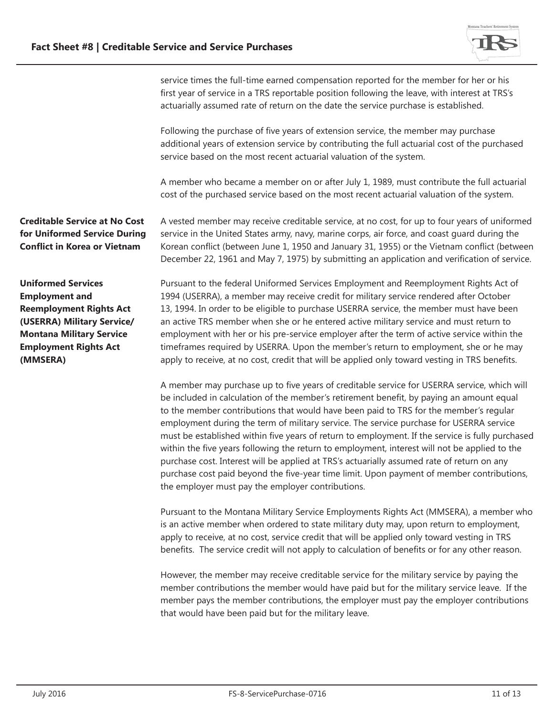

service times the full-time earned compensation reported for the member for her or his first year of service in a TRS reportable position following the leave, with interest at TRS's actuarially assumed rate of return on the date the service purchase is established.

Following the purchase of five years of extension service, the member may purchase additional years of extension service by contributing the full actuarial cost of the purchased service based on the most recent actuarial valuation of the system.

A member who became a member on or after July 1, 1989, must contribute the full actuarial cost of the purchased service based on the most recent actuarial valuation of the system.

**Creditable Service at No Cost for Uniformed Service During Conflict in Korea or Vietnam** 

A vested member may receive creditable service, at no cost, for up to four years of uniformed service in the United States army, navy, marine corps, air force, and coast guard during the Korean conflict (between June 1, 1950 and January 31, 1955) or the Vietnam conflict (between December 22, 1961 and May 7, 1975) by submitting an application and verification of service.

**Uniformed Services Employment and Reemployment Rights Act (USERRA) Military Service/ Montana Military Service Employment Rights Act (MMSERA)**

Pursuant to the federal Uniformed Services Employment and Reemployment Rights Act of 1994 (USERRA), a member may receive credit for military service rendered after October 13, 1994. In order to be eligible to purchase USERRA service, the member must have been an active TRS member when she or he entered active military service and must return to employment with her or his pre-service employer after the term of active service within the timeframes required by USERRA. Upon the member's return to employment, she or he may apply to receive, at no cost, credit that will be applied only toward vesting in TRS benefits.

A member may purchase up to five years of creditable service for USERRA service, which will be included in calculation of the member's retirement benefit, by paying an amount equal to the member contributions that would have been paid to TRS for the member's regular employment during the term of military service. The service purchase for USERRA service must be established within five years of return to employment. If the service is fully purchased within the five years following the return to employment, interest will not be applied to the purchase cost. Interest will be applied at TRS's actuarially assumed rate of return on any purchase cost paid beyond the five-year time limit. Upon payment of member contributions, the employer must pay the employer contributions.

Pursuant to the Montana Military Service Employments Rights Act (MMSERA), a member who is an active member when ordered to state military duty may, upon return to employment, apply to receive, at no cost, service credit that will be applied only toward vesting in TRS benefits. The service credit will not apply to calculation of benefits or for any other reason.

However, the member may receive creditable service for the military service by paying the member contributions the member would have paid but for the military service leave. If the member pays the member contributions, the employer must pay the employer contributions that would have been paid but for the military leave.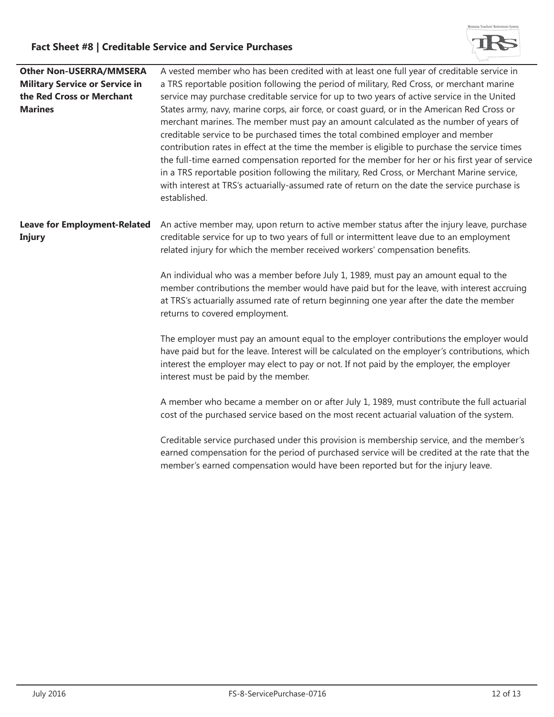

| <b>Other Non-USERRA/MMSERA</b>        | A vested member who has been credited with at least one full year of creditable service in      |  |
|---------------------------------------|-------------------------------------------------------------------------------------------------|--|
| <b>Military Service or Service in</b> | a TRS reportable position following the period of military, Red Cross, or merchant marine       |  |
| the Red Cross or Merchant             | service may purchase creditable service for up to two years of active service in the United     |  |
| <b>Marines</b>                        | States army, navy, marine corps, air force, or coast guard, or in the American Red Cross or     |  |
|                                       | merchant marines. The member must pay an amount calculated as the number of years of            |  |
|                                       | creditable service to be purchased times the total combined employer and member                 |  |
|                                       | contribution rates in effect at the time the member is eligible to purchase the service times   |  |
|                                       | the full-time earned compensation reported for the member for her or his first year of service  |  |
|                                       | in a TRS reportable position following the military, Red Cross, or Merchant Marine service,     |  |
|                                       | with interest at TRS's actuarially-assumed rate of return on the date the service purchase is   |  |
|                                       | established.                                                                                    |  |
|                                       |                                                                                                 |  |
| <b>Leave for Employment-Related</b>   | An active member may, upon return to active member status after the injury leave, purchase      |  |
| <b>Injury</b>                         | creditable service for up to two years of full or intermittent leave due to an employment       |  |
|                                       | related injury for which the member received workers' compensation benefits.                    |  |
|                                       |                                                                                                 |  |
|                                       | An individual who was a member before July 1, 1989, must pay an amount equal to the             |  |
|                                       | member contributions the member would have paid but for the leave, with interest accruing       |  |
|                                       | at TRS's actuarially assumed rate of return beginning one year after the date the member        |  |
|                                       | returns to covered employment.                                                                  |  |
|                                       |                                                                                                 |  |
|                                       | The employer must pay an amount equal to the employer contributions the employer would          |  |
|                                       | have paid but for the leave. Interest will be calculated on the employer's contributions, which |  |
|                                       | interest the employer may elect to pay or not. If not paid by the employer, the employer        |  |
|                                       | interest must be paid by the member.                                                            |  |
|                                       |                                                                                                 |  |
|                                       | A member who became a member on or after July 1, 1989, must contribute the full actuarial       |  |
|                                       | cost of the purchased service based on the most recent actuarial valuation of the system.       |  |
|                                       | Creditable service purchased under this provision is membership service, and the member's       |  |
|                                       | earned compensation for the period of purchased service will be credited at the rate that the   |  |
|                                       | member's earned compensation would have been reported but for the injury leave.                 |  |
|                                       |                                                                                                 |  |